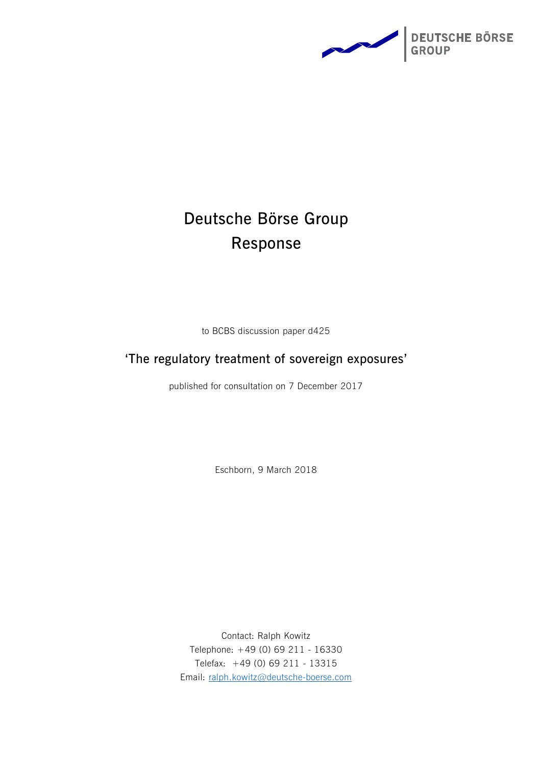

# **Deutsche Börse Group Response**

to BCBS discussion paper d425

## **'The regulatory treatment of sovereign exposures'**

published for consultation on 7 December 2017

Eschborn, 9 March 2018

Contact: Ralph Kowitz Telephone: +49 (0) 69 211 - 16330 Telefax: +49 (0) 69 211 - 13315 Email: [ralph.kowitz@deutsche-boerse.com](mailto:ralph.kowitz@deutsche-boerse.com)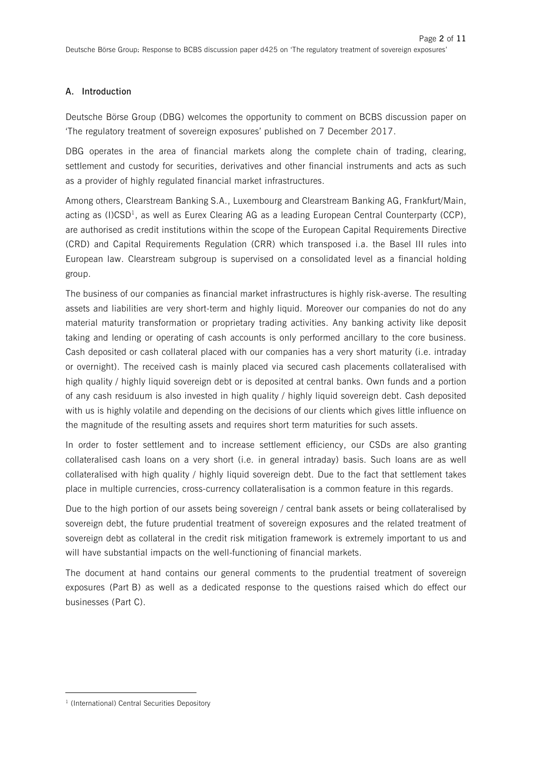#### **A. Introduction**

Deutsche Börse Group (DBG) welcomes the opportunity to comment on BCBS discussion paper on 'The regulatory treatment of sovereign exposures' published on 7 December 2017.

DBG operates in the area of financial markets along the complete chain of trading, clearing, settlement and custody for securities, derivatives and other financial instruments and acts as such as a provider of highly regulated financial market infrastructures.

Among others, Clearstream Banking S.A., Luxembourg and Clearstream Banking AG, Frankfurt/Main, acting as (I)CSD<sup>1</sup>, as well as Eurex Clearing AG as a leading European Central Counterparty (CCP), are authorised as credit institutions within the scope of the European Capital Requirements Directive (CRD) and Capital Requirements Regulation (CRR) which transposed i.a. the Basel III rules into European law. Clearstream subgroup is supervised on a consolidated level as a financial holding group.

The business of our companies as financial market infrastructures is highly risk-averse. The resulting assets and liabilities are very short-term and highly liquid. Moreover our companies do not do any material maturity transformation or proprietary trading activities. Any banking activity like deposit taking and lending or operating of cash accounts is only performed ancillary to the core business. Cash deposited or cash collateral placed with our companies has a very short maturity (i.e. intraday or overnight). The received cash is mainly placed via secured cash placements collateralised with high quality / highly liquid sovereign debt or is deposited at central banks. Own funds and a portion of any cash residuum is also invested in high quality / highly liquid sovereign debt. Cash deposited with us is highly volatile and depending on the decisions of our clients which gives little influence on the magnitude of the resulting assets and requires short term maturities for such assets.

In order to foster settlement and to increase settlement efficiency, our CSDs are also granting collateralised cash loans on a very short (i.e. in general intraday) basis. Such loans are as well collateralised with high quality / highly liquid sovereign debt. Due to the fact that settlement takes place in multiple currencies, cross-currency collateralisation is a common feature in this regards.

Due to the high portion of our assets being sovereign / central bank assets or being collateralised by sovereign debt, the future prudential treatment of sovereign exposures and the related treatment of sovereign debt as collateral in the credit risk mitigation framework is extremely important to us and will have substantial impacts on the well-functioning of financial markets.

The document at hand contains our general comments to the prudential treatment of sovereign exposures (Part B) as well as a dedicated response to the questions raised which do effect our businesses (Part C).

l

<sup>&</sup>lt;sup>1</sup> (International) Central Securities Depository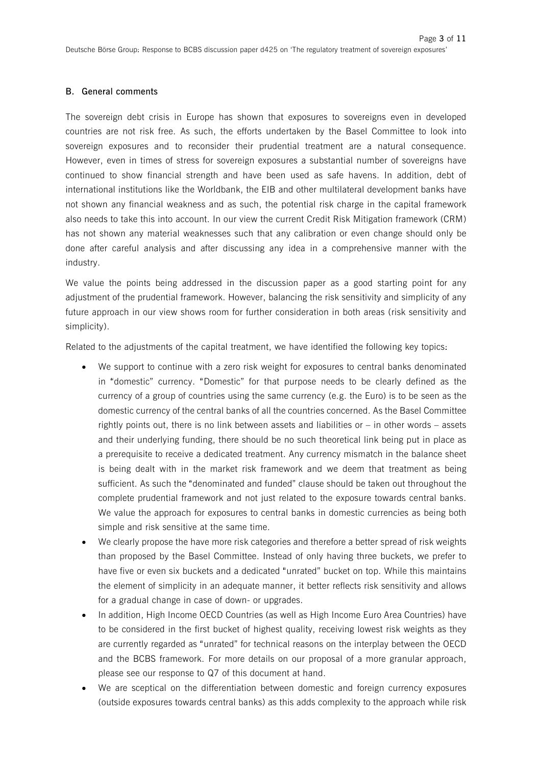#### **B. General comments**

The sovereign debt crisis in Europe has shown that exposures to sovereigns even in developed countries are not risk free. As such, the efforts undertaken by the Basel Committee to look into sovereign exposures and to reconsider their prudential treatment are a natural consequence. However, even in times of stress for sovereign exposures a substantial number of sovereigns have continued to show financial strength and have been used as safe havens. In addition, debt of international institutions like the Worldbank, the EIB and other multilateral development banks have not shown any financial weakness and as such, the potential risk charge in the capital framework also needs to take this into account. In our view the current Credit Risk Mitigation framework (CRM) has not shown any material weaknesses such that any calibration or even change should only be done after careful analysis and after discussing any idea in a comprehensive manner with the industry.

We value the points being addressed in the discussion paper as a good starting point for any adjustment of the prudential framework. However, balancing the risk sensitivity and simplicity of any future approach in our view shows room for further consideration in both areas (risk sensitivity and simplicity).

Related to the adjustments of the capital treatment, we have identified the following key topics:

- We support to continue with a zero risk weight for exposures to central banks denominated in "domestic" currency. "Domestic" for that purpose needs to be clearly defined as the currency of a group of countries using the same currency (e.g. the Euro) is to be seen as the domestic currency of the central banks of all the countries concerned. As the Basel Committee rightly points out, there is no link between assets and liabilities or – in other words – assets and their underlying funding, there should be no such theoretical link being put in place as a prerequisite to receive a dedicated treatment. Any currency mismatch in the balance sheet is being dealt with in the market risk framework and we deem that treatment as being sufficient. As such the "denominated and funded" clause should be taken out throughout the complete prudential framework and not just related to the exposure towards central banks. We value the approach for exposures to central banks in domestic currencies as being both simple and risk sensitive at the same time.
- We clearly propose the have more risk categories and therefore a better spread of risk weights than proposed by the Basel Committee. Instead of only having three buckets, we prefer to have five or even six buckets and a dedicated "unrated" bucket on top. While this maintains the element of simplicity in an adequate manner, it better reflects risk sensitivity and allows for a gradual change in case of down- or upgrades.
- · In addition, High Income OECD Countries (as well as High Income Euro Area Countries) have to be considered in the first bucket of highest quality, receiving lowest risk weights as they are currently regarded as "unrated" for technical reasons on the interplay between the OECD and the BCBS framework. For more details on our proposal of a more granular approach, please see our response to Q7 of this document at hand.
- We are sceptical on the differentiation between domestic and foreign currency exposures (outside exposures towards central banks) as this adds complexity to the approach while risk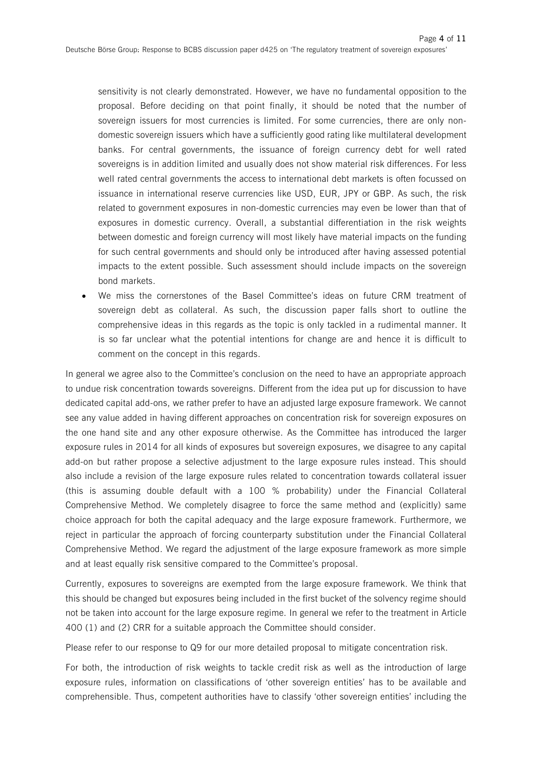sensitivity is not clearly demonstrated. However, we have no fundamental opposition to the proposal. Before deciding on that point finally, it should be noted that the number of sovereign issuers for most currencies is limited. For some currencies, there are only nondomestic sovereign issuers which have a sufficiently good rating like multilateral development banks. For central governments, the issuance of foreign currency debt for well rated sovereigns is in addition limited and usually does not show material risk differences. For less well rated central governments the access to international debt markets is often focussed on issuance in international reserve currencies like USD, EUR, JPY or GBP. As such, the risk related to government exposures in non-domestic currencies may even be lower than that of exposures in domestic currency. Overall, a substantial differentiation in the risk weights between domestic and foreign currency will most likely have material impacts on the funding for such central governments and should only be introduced after having assessed potential impacts to the extent possible. Such assessment should include impacts on the sovereign bond markets.

· We miss the cornerstones of the Basel Committee's ideas on future CRM treatment of sovereign debt as collateral. As such, the discussion paper falls short to outline the comprehensive ideas in this regards as the topic is only tackled in a rudimental manner. It is so far unclear what the potential intentions for change are and hence it is difficult to comment on the concept in this regards.

In general we agree also to the Committee's conclusion on the need to have an appropriate approach to undue risk concentration towards sovereigns. Different from the idea put up for discussion to have dedicated capital add-ons, we rather prefer to have an adjusted large exposure framework. We cannot see any value added in having different approaches on concentration risk for sovereign exposures on the one hand site and any other exposure otherwise. As the Committee has introduced the larger exposure rules in 2014 for all kinds of exposures but sovereign exposures, we disagree to any capital add-on but rather propose a selective adjustment to the large exposure rules instead. This should also include a revision of the large exposure rules related to concentration towards collateral issuer (this is assuming double default with a 100 % probability) under the Financial Collateral Comprehensive Method. We completely disagree to force the same method and (explicitly) same choice approach for both the capital adequacy and the large exposure framework. Furthermore, we reject in particular the approach of forcing counterparty substitution under the Financial Collateral Comprehensive Method. We regard the adjustment of the large exposure framework as more simple and at least equally risk sensitive compared to the Committee's proposal.

Currently, exposures to sovereigns are exempted from the large exposure framework. We think that this should be changed but exposures being included in the first bucket of the solvency regime should not be taken into account for the large exposure regime. In general we refer to the treatment in Article 400 (1) and (2) CRR for a suitable approach the Committee should consider.

Please refer to our response to Q9 for our more detailed proposal to mitigate concentration risk.

For both, the introduction of risk weights to tackle credit risk as well as the introduction of large exposure rules, information on classifications of 'other sovereign entities' has to be available and comprehensible. Thus, competent authorities have to classify 'other sovereign entities' including the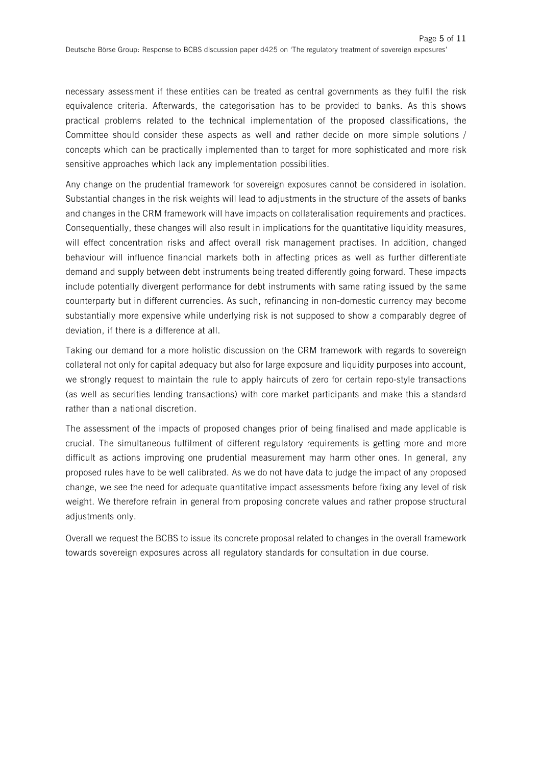necessary assessment if these entities can be treated as central governments as they fulfil the risk equivalence criteria. Afterwards, the categorisation has to be provided to banks. As this shows practical problems related to the technical implementation of the proposed classifications, the Committee should consider these aspects as well and rather decide on more simple solutions / concepts which can be practically implemented than to target for more sophisticated and more risk sensitive approaches which lack any implementation possibilities.

Any change on the prudential framework for sovereign exposures cannot be considered in isolation. Substantial changes in the risk weights will lead to adjustments in the structure of the assets of banks and changes in the CRM framework will have impacts on collateralisation requirements and practices. Consequentially, these changes will also result in implications for the quantitative liquidity measures, will effect concentration risks and affect overall risk management practises. In addition, changed behaviour will influence financial markets both in affecting prices as well as further differentiate demand and supply between debt instruments being treated differently going forward. These impacts include potentially divergent performance for debt instruments with same rating issued by the same counterparty but in different currencies. As such, refinancing in non-domestic currency may become substantially more expensive while underlying risk is not supposed to show a comparably degree of deviation, if there is a difference at all.

Taking our demand for a more holistic discussion on the CRM framework with regards to sovereign collateral not only for capital adequacy but also for large exposure and liquidity purposes into account, we strongly request to maintain the rule to apply haircuts of zero for certain repo-style transactions (as well as securities lending transactions) with core market participants and make this a standard rather than a national discretion.

The assessment of the impacts of proposed changes prior of being finalised and made applicable is crucial. The simultaneous fulfilment of different regulatory requirements is getting more and more difficult as actions improving one prudential measurement may harm other ones. In general, any proposed rules have to be well calibrated. As we do not have data to judge the impact of any proposed change, we see the need for adequate quantitative impact assessments before fixing any level of risk weight. We therefore refrain in general from proposing concrete values and rather propose structural adiustments only.

Overall we request the BCBS to issue its concrete proposal related to changes in the overall framework towards sovereign exposures across all regulatory standards for consultation in due course.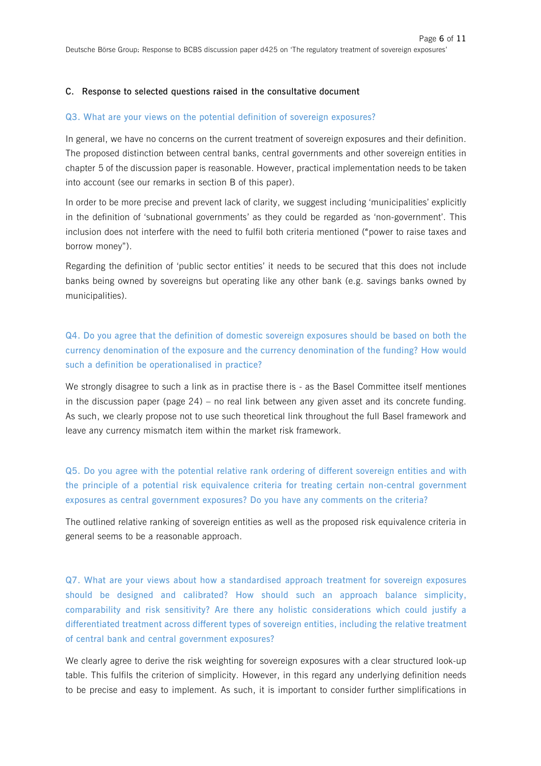#### **C. Response to selected questions raised in the consultative document**

#### **Q3. What are your views on the potential definition of sovereign exposures?**

In general, we have no concerns on the current treatment of sovereign exposures and their definition. The proposed distinction between central banks, central governments and other sovereign entities in chapter 5 of the discussion paper is reasonable. However, practical implementation needs to be taken into account (see our remarks in section B of this paper).

In order to be more precise and prevent lack of clarity, we suggest including 'municipalities' explicitly in the definition of 'subnational governments' as they could be regarded as 'non-government'. This inclusion does not interfere with the need to fulfil both criteria mentioned ("power to raise taxes and borrow money").

Regarding the definition of 'public sector entities' it needs to be secured that this does not include banks being owned by sovereigns but operating like any other bank (e.g. savings banks owned by municipalities).

## **Q4. Do you agree that the definition of domestic sovereign exposures should be based on both the currency denomination of the exposure and the currency denomination of the funding? How would such a definition be operationalised in practice?**

We strongly disagree to such a link as in practise there is - as the Basel Committee itself mentiones in the discussion paper (page 24) – no real link between any given asset and its concrete funding. As such, we clearly propose not to use such theoretical link throughout the full Basel framework and leave any currency mismatch item within the market risk framework.

**Q5. Do you agree with the potential relative rank ordering of different sovereign entities and with the principle of a potential risk equivalence criteria for treating certain non-central government exposures as central government exposures? Do you have any comments on the criteria?** 

The outlined relative ranking of sovereign entities as well as the proposed risk equivalence criteria in general seems to be a reasonable approach.

**Q7. What are your views about how a standardised approach treatment for sovereign exposures should be designed and calibrated? How should such an approach balance simplicity, comparability and risk sensitivity? Are there any holistic considerations which could justify a differentiated treatment across different types of sovereign entities, including the relative treatment of central bank and central government exposures?** 

We clearly agree to derive the risk weighting for sovereign exposures with a clear structured look-up table. This fulfils the criterion of simplicity. However, in this regard any underlying definition needs to be precise and easy to implement. As such, it is important to consider further simplifications in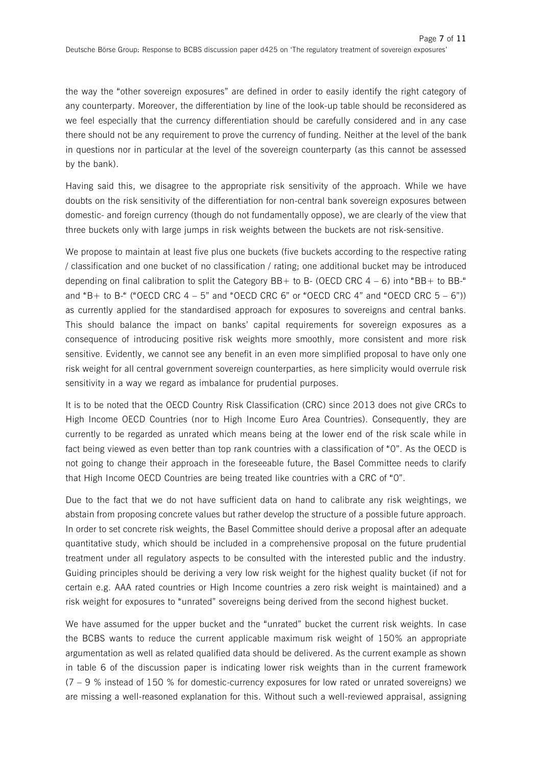the way the "other sovereign exposures" are defined in order to easily identify the right category of any counterparty. Moreover, the differentiation by line of the look-up table should be reconsidered as we feel especially that the currency differentiation should be carefully considered and in any case there should not be any requirement to prove the currency of funding. Neither at the level of the bank in questions nor in particular at the level of the sovereign counterparty (as this cannot be assessed by the bank).

Having said this, we disagree to the appropriate risk sensitivity of the approach. While we have doubts on the risk sensitivity of the differentiation for non-central bank sovereign exposures between domestic- and foreign currency (though do not fundamentally oppose), we are clearly of the view that three buckets only with large jumps in risk weights between the buckets are not risk-sensitive.

We propose to maintain at least five plus one buckets (five buckets according to the respective rating / classification and one bucket of no classification / rating; one additional bucket may be introduced depending on final calibration to split the Category  $BB+$  to B- (OECD CRC 4 – 6) into "BB+ to BB-" and "B+ to B-" ("OECD CRC  $4 - 5$ " and "OECD CRC 6" or "OECD CRC 4" and "OECD CRC  $5 - 6$ ")) as currently applied for the standardised approach for exposures to sovereigns and central banks. This should balance the impact on banks' capital requirements for sovereign exposures as a consequence of introducing positive risk weights more smoothly, more consistent and more risk sensitive. Evidently, we cannot see any benefit in an even more simplified proposal to have only one risk weight for all central government sovereign counterparties, as here simplicity would overrule risk sensitivity in a way we regard as imbalance for prudential purposes.

It is to be noted that the OECD Country Risk Classification (CRC) since 2013 does not give CRCs to High Income OECD Countries (nor to High Income Euro Area Countries). Consequently, they are currently to be regarded as unrated which means being at the lower end of the risk scale while in fact being viewed as even better than top rank countries with a classification of "0". As the OECD is not going to change their approach in the foreseeable future, the Basel Committee needs to clarify that High Income OECD Countries are being treated like countries with a CRC of "0".

Due to the fact that we do not have sufficient data on hand to calibrate any risk weightings, we abstain from proposing concrete values but rather develop the structure of a possible future approach. In order to set concrete risk weights, the Basel Committee should derive a proposal after an adequate quantitative study, which should be included in a comprehensive proposal on the future prudential treatment under all regulatory aspects to be consulted with the interested public and the industry. Guiding principles should be deriving a very low risk weight for the highest quality bucket (if not for certain e.g. AAA rated countries or High Income countries a zero risk weight is maintained) and a risk weight for exposures to "unrated" sovereigns being derived from the second highest bucket.

We have assumed for the upper bucket and the "unrated" bucket the current risk weights. In case the BCBS wants to reduce the current applicable maximum risk weight of 150% an appropriate argumentation as well as related qualified data should be delivered. As the current example as shown in table 6 of the discussion paper is indicating lower risk weights than in the current framework  $(7 - 9)$ % instead of 150 % for domestic-currency exposures for low rated or unrated sovereigns) we are missing a well-reasoned explanation for this. Without such a well-reviewed appraisal, assigning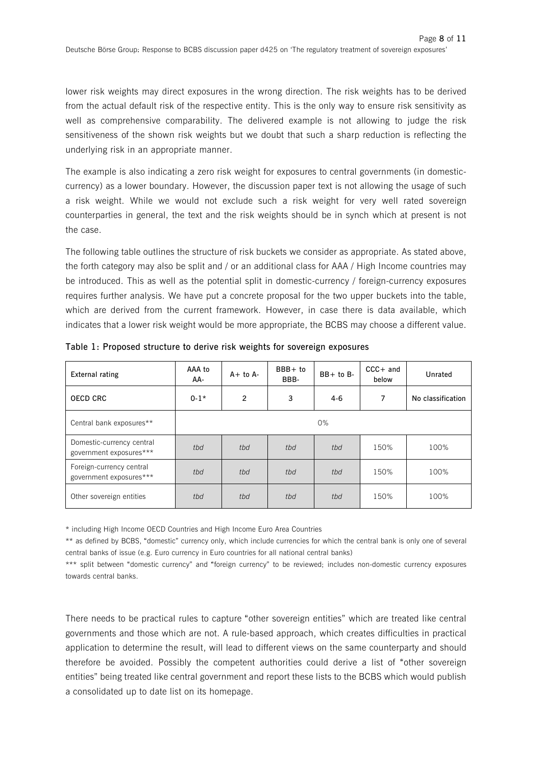lower risk weights may direct exposures in the wrong direction. The risk weights has to be derived from the actual default risk of the respective entity. This is the only way to ensure risk sensitivity as well as comprehensive comparability. The delivered example is not allowing to judge the risk sensitiveness of the shown risk weights but we doubt that such a sharp reduction is reflecting the underlying risk in an appropriate manner.

The example is also indicating a zero risk weight for exposures to central governments (in domesticcurrency) as a lower boundary. However, the discussion paper text is not allowing the usage of such a risk weight. While we would not exclude such a risk weight for very well rated sovereign counterparties in general, the text and the risk weights should be in synch which at present is not the case.

The following table outlines the structure of risk buckets we consider as appropriate. As stated above, the forth category may also be split and / or an additional class for AAA / High Income countries may be introduced. This as well as the potential split in domestic-currency / foreign-currency exposures requires further analysis. We have put a concrete proposal for the two upper buckets into the table, which are derived from the current framework. However, in case there is data available, which indicates that a lower risk weight would be more appropriate, the BCBS may choose a different value.

| <b>External rating</b>                               | AAA to<br>AA- | $A+$ to $A-$   | $BBB + to$<br>BBB- | $BB+$ to $B-$ | $CCC + and$<br>below | Unrated           |
|------------------------------------------------------|---------------|----------------|--------------------|---------------|----------------------|-------------------|
| OECD CRC                                             | $0-1*$        | $\overline{2}$ | 3                  | $4-6$         | 7                    | No classification |
| Central bank exposures**                             | $0\%$         |                |                    |               |                      |                   |
| Domestic-currency central<br>government exposures*** | tbd           | tbd            | tbd                | tbd           | 150%                 | 100%              |
| Foreign-currency central<br>government exposures***  | tbd           | tbd            | tbd                | tbd           | 150%                 | 100%              |
| Other sovereign entities                             | tbd           | tbd            | tbd                | tbd           | 150%                 | 100%              |

**Table 1: Proposed structure to derive risk weights for sovereign exposures** 

\* including High Income OECD Countries and High Income Euro Area Countries

\*\* as defined by BCBS, "domestic" currency only, which include currencies for which the central bank is only one of several central banks of issue (e.g. Euro currency in Euro countries for all national central banks)

\*\*\* split between "domestic currency" and "foreign currency" to be reviewed; includes non-domestic currency exposures towards central banks.

There needs to be practical rules to capture "other sovereign entities" which are treated like central governments and those which are not. A rule-based approach, which creates difficulties in practical application to determine the result, will lead to different views on the same counterparty and should therefore be avoided. Possibly the competent authorities could derive a list of "other sovereign entities" being treated like central government and report these lists to the BCBS which would publish a consolidated up to date list on its homepage.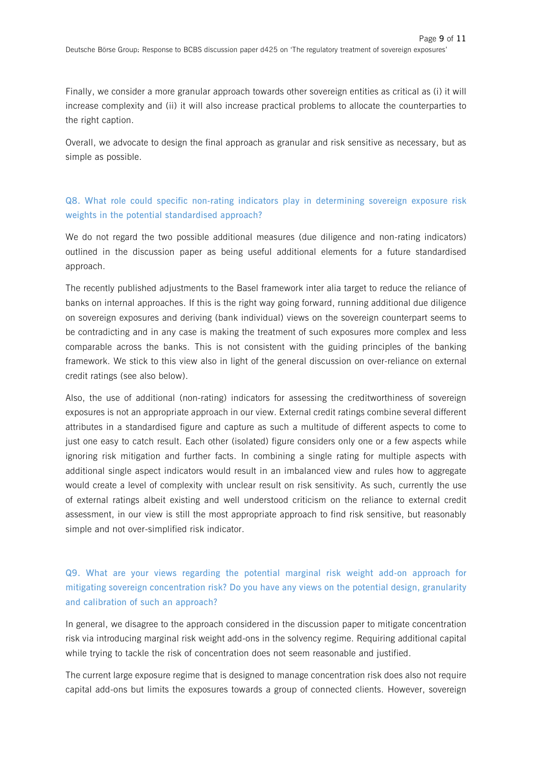Finally, we consider a more granular approach towards other sovereign entities as critical as (i) it will increase complexity and (ii) it will also increase practical problems to allocate the counterparties to the right caption.

Overall, we advocate to design the final approach as granular and risk sensitive as necessary, but as simple as possible.

### **Q8. What role could specific non-rating indicators play in determining sovereign exposure risk weights in the potential standardised approach?**

We do not regard the two possible additional measures (due diligence and non-rating indicators) outlined in the discussion paper as being useful additional elements for a future standardised approach.

The recently published adjustments to the Basel framework inter alia target to reduce the reliance of banks on internal approaches. If this is the right way going forward, running additional due diligence on sovereign exposures and deriving (bank individual) views on the sovereign counterpart seems to be contradicting and in any case is making the treatment of such exposures more complex and less comparable across the banks. This is not consistent with the guiding principles of the banking framework. We stick to this view also in light of the general discussion on over-reliance on external credit ratings (see also below).

Also, the use of additional (non-rating) indicators for assessing the creditworthiness of sovereign exposures is not an appropriate approach in our view. External credit ratings combine several different attributes in a standardised figure and capture as such a multitude of different aspects to come to just one easy to catch result. Each other (isolated) figure considers only one or a few aspects while ignoring risk mitigation and further facts. In combining a single rating for multiple aspects with additional single aspect indicators would result in an imbalanced view and rules how to aggregate would create a level of complexity with unclear result on risk sensitivity. As such, currently the use of external ratings albeit existing and well understood criticism on the reliance to external credit assessment, in our view is still the most appropriate approach to find risk sensitive, but reasonably simple and not over-simplified risk indicator.

## **Q9. What are your views regarding the potential marginal risk weight add-on approach for mitigating sovereign concentration risk? Do you have any views on the potential design, granularity and calibration of such an approach?**

In general, we disagree to the approach considered in the discussion paper to mitigate concentration risk via introducing marginal risk weight add-ons in the solvency regime. Requiring additional capital while trying to tackle the risk of concentration does not seem reasonable and justified.

The current large exposure regime that is designed to manage concentration risk does also not require capital add-ons but limits the exposures towards a group of connected clients. However, sovereign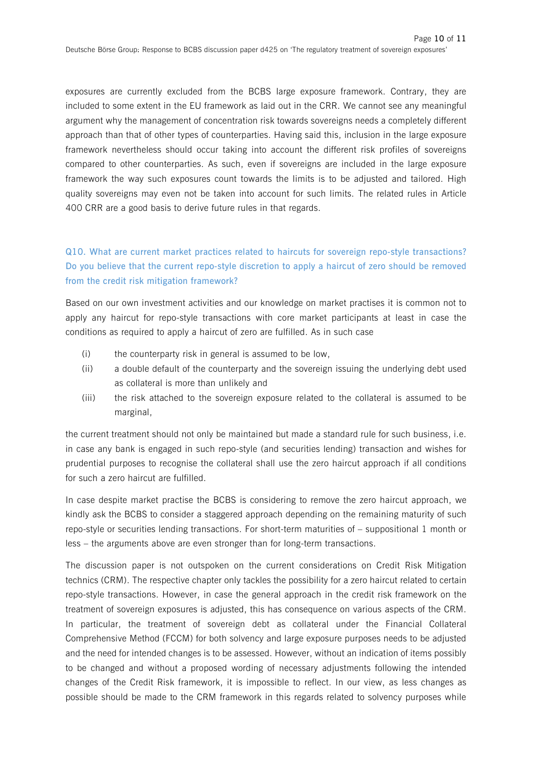exposures are currently excluded from the BCBS large exposure framework. Contrary, they are included to some extent in the EU framework as laid out in the CRR. We cannot see any meaningful argument why the management of concentration risk towards sovereigns needs a completely different approach than that of other types of counterparties. Having said this, inclusion in the large exposure framework nevertheless should occur taking into account the different risk profiles of sovereigns compared to other counterparties. As such, even if sovereigns are included in the large exposure framework the way such exposures count towards the limits is to be adjusted and tailored. High quality sovereigns may even not be taken into account for such limits. The related rules in Article 400 CRR are a good basis to derive future rules in that regards.

## **Q10. What are current market practices related to haircuts for sovereign repo-style transactions? Do you believe that the current repo-style discretion to apply a haircut of zero should be removed from the credit risk mitigation framework?**

Based on our own investment activities and our knowledge on market practises it is common not to apply any haircut for repo-style transactions with core market participants at least in case the conditions as required to apply a haircut of zero are fulfilled. As in such case

- (i) the counterparty risk in general is assumed to be low,
- (ii) a double default of the counterparty and the sovereign issuing the underlying debt used as collateral is more than unlikely and
- (iii) the risk attached to the sovereign exposure related to the collateral is assumed to be marginal,

the current treatment should not only be maintained but made a standard rule for such business, i.e. in case any bank is engaged in such repo-style (and securities lending) transaction and wishes for prudential purposes to recognise the collateral shall use the zero haircut approach if all conditions for such a zero haircut are fulfilled.

In case despite market practise the BCBS is considering to remove the zero haircut approach, we kindly ask the BCBS to consider a staggered approach depending on the remaining maturity of such repo-style or securities lending transactions. For short-term maturities of – suppositional 1 month or less – the arguments above are even stronger than for long-term transactions.

The discussion paper is not outspoken on the current considerations on Credit Risk Mitigation technics (CRM). The respective chapter only tackles the possibility for a zero haircut related to certain repo-style transactions. However, in case the general approach in the credit risk framework on the treatment of sovereign exposures is adjusted, this has consequence on various aspects of the CRM. In particular, the treatment of sovereign debt as collateral under the Financial Collateral Comprehensive Method (FCCM) for both solvency and large exposure purposes needs to be adjusted and the need for intended changes is to be assessed. However, without an indication of items possibly to be changed and without a proposed wording of necessary adjustments following the intended changes of the Credit Risk framework, it is impossible to reflect. In our view, as less changes as possible should be made to the CRM framework in this regards related to solvency purposes while